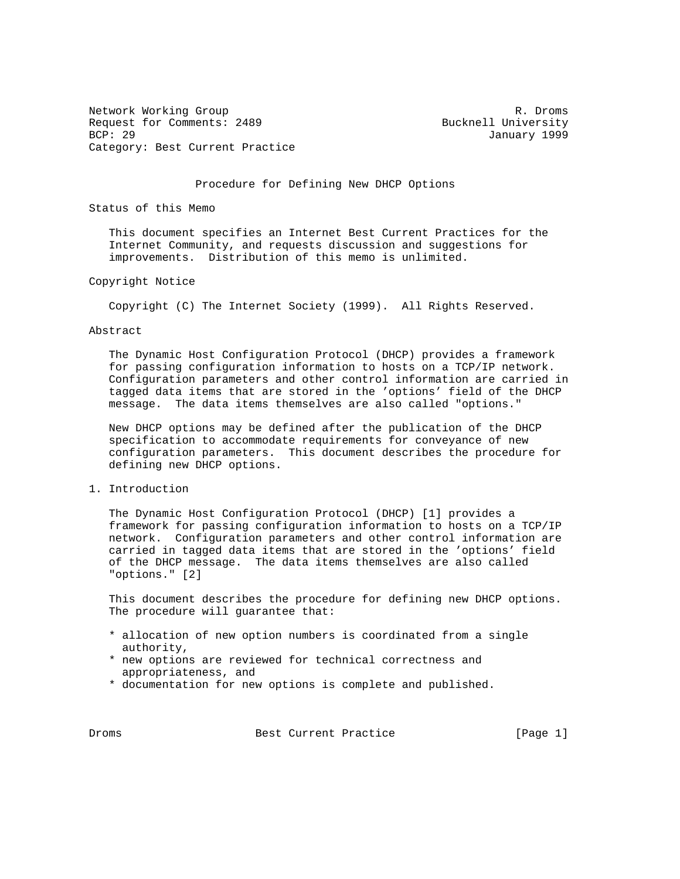Network Working Group and the set of the set of the set of the set of the set of the set of the set of the set of the set of the set of the set of the set of the set of the set of the set of the set of the set of the set o Request for Comments: 2489 Bucknell University<br>BCP: 29 Bucknell University Category: Best Current Practice

January 1999

#### Procedure for Defining New DHCP Options

Status of this Memo

 This document specifies an Internet Best Current Practices for the Internet Community, and requests discussion and suggestions for improvements. Distribution of this memo is unlimited.

#### Copyright Notice

Copyright (C) The Internet Society (1999). All Rights Reserved.

## Abstract

 The Dynamic Host Configuration Protocol (DHCP) provides a framework for passing configuration information to hosts on a TCP/IP network. Configuration parameters and other control information are carried in tagged data items that are stored in the 'options' field of the DHCP message. The data items themselves are also called "options."

 New DHCP options may be defined after the publication of the DHCP specification to accommodate requirements for conveyance of new configuration parameters. This document describes the procedure for defining new DHCP options.

### 1. Introduction

 The Dynamic Host Configuration Protocol (DHCP) [1] provides a framework for passing configuration information to hosts on a TCP/IP network. Configuration parameters and other control information are carried in tagged data items that are stored in the 'options' field of the DHCP message. The data items themselves are also called "options." [2]

 This document describes the procedure for defining new DHCP options. The procedure will guarantee that:

- \* allocation of new option numbers is coordinated from a single authority,
- \* new options are reviewed for technical correctness and appropriateness, and
- \* documentation for new options is complete and published.

Droms Best Current Practice [Page 1]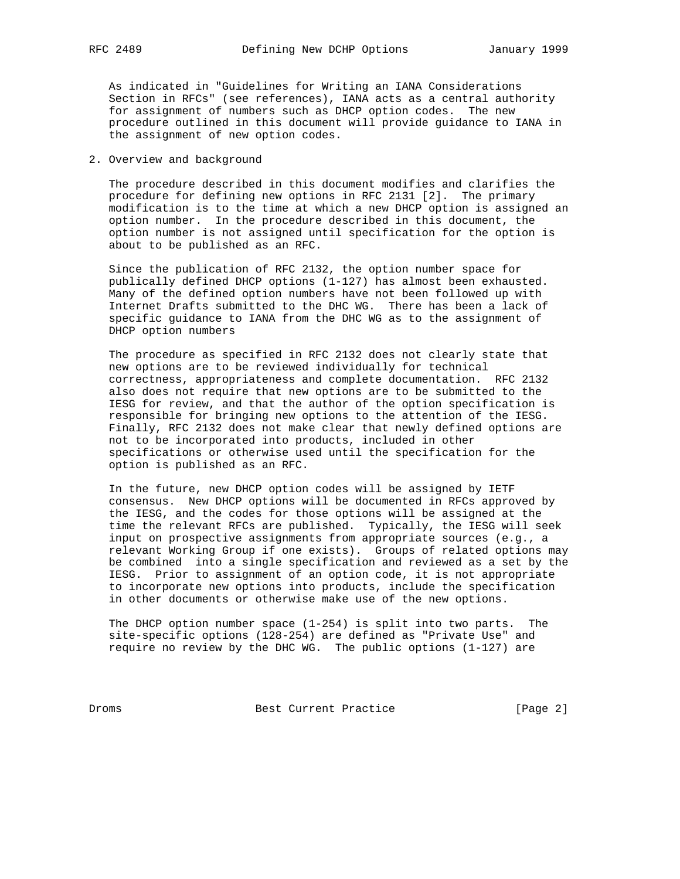As indicated in "Guidelines for Writing an IANA Considerations Section in RFCs" (see references), IANA acts as a central authority for assignment of numbers such as DHCP option codes. The new procedure outlined in this document will provide guidance to IANA in the assignment of new option codes.

### 2. Overview and background

 The procedure described in this document modifies and clarifies the procedure for defining new options in RFC 2131 [2]. The primary modification is to the time at which a new DHCP option is assigned an option number. In the procedure described in this document, the option number is not assigned until specification for the option is about to be published as an RFC.

 Since the publication of RFC 2132, the option number space for publically defined DHCP options (1-127) has almost been exhausted. Many of the defined option numbers have not been followed up with Internet Drafts submitted to the DHC WG. There has been a lack of specific guidance to IANA from the DHC WG as to the assignment of DHCP option numbers

 The procedure as specified in RFC 2132 does not clearly state that new options are to be reviewed individually for technical correctness, appropriateness and complete documentation. RFC 2132 also does not require that new options are to be submitted to the IESG for review, and that the author of the option specification is responsible for bringing new options to the attention of the IESG. Finally, RFC 2132 does not make clear that newly defined options are not to be incorporated into products, included in other specifications or otherwise used until the specification for the option is published as an RFC.

 In the future, new DHCP option codes will be assigned by IETF consensus. New DHCP options will be documented in RFCs approved by the IESG, and the codes for those options will be assigned at the time the relevant RFCs are published. Typically, the IESG will seek input on prospective assignments from appropriate sources (e.g., a relevant Working Group if one exists). Groups of related options may be combined into a single specification and reviewed as a set by the IESG. Prior to assignment of an option code, it is not appropriate to incorporate new options into products, include the specification in other documents or otherwise make use of the new options.

 The DHCP option number space (1-254) is split into two parts. The site-specific options (128-254) are defined as "Private Use" and require no review by the DHC WG. The public options (1-127) are

Droms Best Current Practice [Page 2]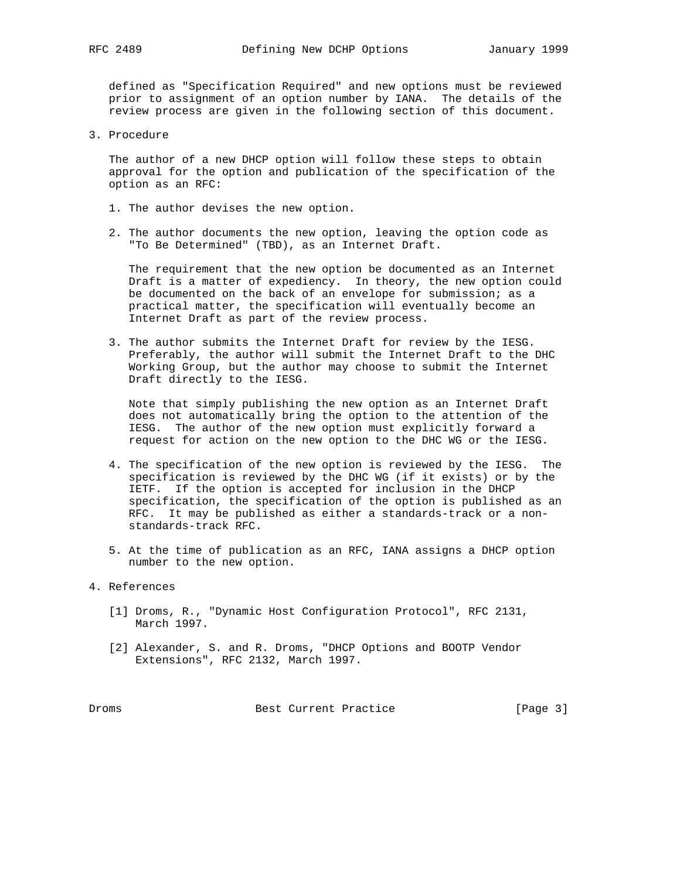defined as "Specification Required" and new options must be reviewed prior to assignment of an option number by IANA. The details of the review process are given in the following section of this document.

3. Procedure

 The author of a new DHCP option will follow these steps to obtain approval for the option and publication of the specification of the option as an RFC:

- 1. The author devises the new option.
- 2. The author documents the new option, leaving the option code as "To Be Determined" (TBD), as an Internet Draft.

 The requirement that the new option be documented as an Internet Draft is a matter of expediency. In theory, the new option could be documented on the back of an envelope for submission; as a practical matter, the specification will eventually become an Internet Draft as part of the review process.

 3. The author submits the Internet Draft for review by the IESG. Preferably, the author will submit the Internet Draft to the DHC Working Group, but the author may choose to submit the Internet Draft directly to the IESG.

 Note that simply publishing the new option as an Internet Draft does not automatically bring the option to the attention of the IESG. The author of the new option must explicitly forward a request for action on the new option to the DHC WG or the IESG.

- 4. The specification of the new option is reviewed by the IESG. The specification is reviewed by the DHC WG (if it exists) or by the IETF. If the option is accepted for inclusion in the DHCP specification, the specification of the option is published as an RFC. It may be published as either a standards-track or a non standards-track RFC.
- 5. At the time of publication as an RFC, IANA assigns a DHCP option number to the new option.

## 4. References

- [1] Droms, R., "Dynamic Host Configuration Protocol", RFC 2131, March 1997.
- [2] Alexander, S. and R. Droms, "DHCP Options and BOOTP Vendor Extensions", RFC 2132, March 1997.

Droms Best Current Practice [Page 3]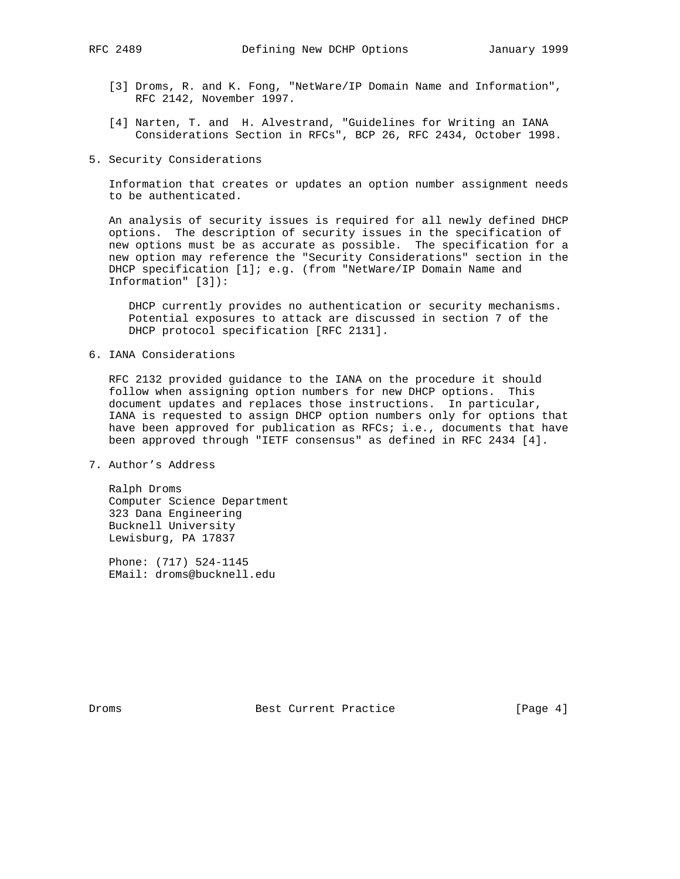- [3] Droms, R. and K. Fong, "NetWare/IP Domain Name and Information", RFC 2142, November 1997.
- [4] Narten, T. and H. Alvestrand, "Guidelines for Writing an IANA Considerations Section in RFCs", BCP 26, RFC 2434, October 1998.
- 5. Security Considerations

 Information that creates or updates an option number assignment needs to be authenticated.

 An analysis of security issues is required for all newly defined DHCP options. The description of security issues in the specification of new options must be as accurate as possible. The specification for a new option may reference the "Security Considerations" section in the DHCP specification [1]; e.g. (from "NetWare/IP Domain Name and Information" [3]):

 DHCP currently provides no authentication or security mechanisms. Potential exposures to attack are discussed in section 7 of the DHCP protocol specification [RFC 2131].

# 6. IANA Considerations

 RFC 2132 provided guidance to the IANA on the procedure it should follow when assigning option numbers for new DHCP options. This document updates and replaces those instructions. In particular, IANA is requested to assign DHCP option numbers only for options that have been approved for publication as RFCs; i.e., documents that have been approved through "IETF consensus" as defined in RFC 2434 [4].

7. Author's Address

 Ralph Droms Computer Science Department 323 Dana Engineering Bucknell University Lewisburg, PA 17837

 Phone: (717) 524-1145 EMail: droms@bucknell.edu

Droms Best Current Practice [Page 4]